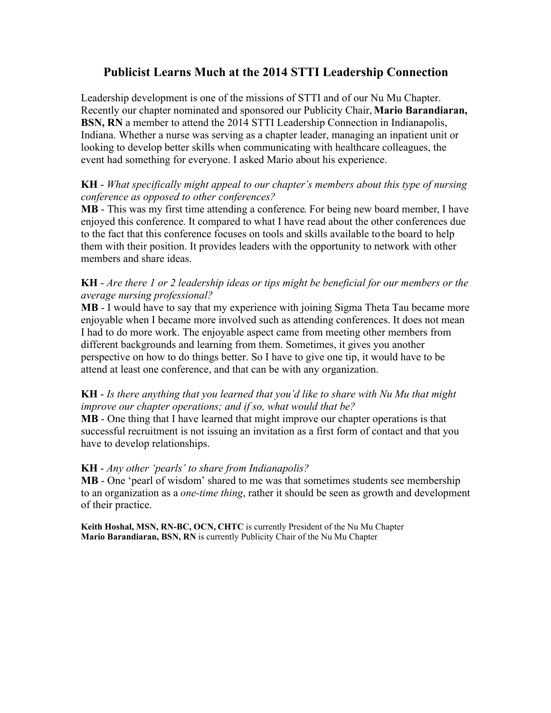# **Publicist Learns Much at the 2014 STTI Leadership Connection**

Leadership development is one of the missions of STTI and of our Nu Mu Chapter. Recently our chapter nominated and sponsored our Publicity Chair, **Mario Barandiaran, BSN, RN** a member to attend the 2014 STTI Leadership Connection in Indianapolis, Indiana. Whether a nurse was serving as a chapter leader, managing an inpatient unit or looking to develop better skills when communicating with healthcare colleagues, the event had something for everyone. I asked Mario about his experience.

### **KH** - *What specifically might appeal to our chapter's members about this type of nursing conference as opposed to other conferences?*

**MB** - This was my first time attending a conference. For being new board member, I have enjoyed this conference. It compared to what I have read about the other conferences due to the fact that this conference focuses on tools and skills available to the board to help them with their position. It provides leaders with the opportunity to network with other members and share ideas.

#### **KH** - *Are there 1 or 2 leadership ideas or tips might be beneficial for our members or the average nursing professional?*

**MB** - I would have to say that my experience with joining Sigma Theta Tau became more enjoyable when I became more involved such as attending conferences. It does not mean I had to do more work. The enjoyable aspect came from meeting other members from different backgrounds and learning from them. Sometimes, it gives you another perspective on how to do things better. So I have to give one tip, it would have to be attend at least one conference, and that can be with any organization.

## **KH** - *Is there anything that you learned that you'd like to share with Nu Mu that might improve our chapter operations; and if so, what would that be?*

**MB** - One thing that I have learned that might improve our chapter operations is that successful recruitment is not issuing an invitation as a first form of contact and that you have to develop relationships.

### **KH** - *Any other 'pearls' to share from Indianapolis?*

**MB** - One 'pearl of wisdom' shared to me was that sometimes students see membership to an organization as a *one-time thing*, rather it should be seen as growth and development of their practice.

**Keith Hoshal, MSN, RN-BC, OCN, CHTC** is currently President of the Nu Mu Chapter **Mario Barandiaran, BSN, RN** is currently Publicity Chair of the Nu Mu Chapter